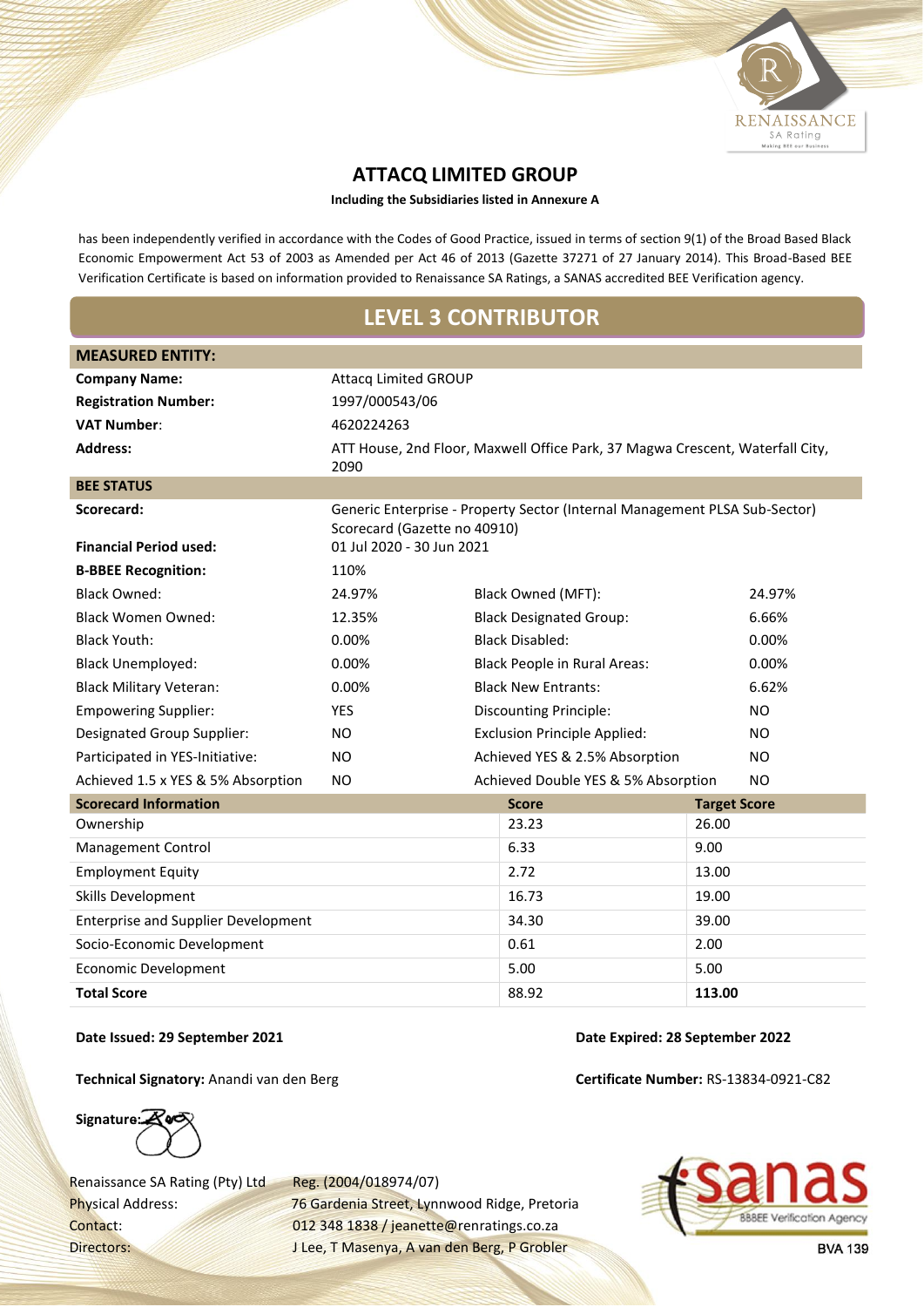

## **ATTACQ LIMITED GROUP**

**Including the Subsidiaries listed in Annexure A**

has been independently verified in accordance with the Codes of Good Practice, issued in terms of section 9(1) of the Broad Based Black Economic Empowerment Act 53 of 2003 as Amended per Act 46 of 2013 (Gazette 37271 of 27 January 2014). This Broad-Based BEE Verification Certificate is based on information provided to Renaissance SA Ratings, a SANAS accredited BEE Verification agency.

## **LEVEL 3 CONTRIBUTOR**

| <b>MEASURED ENTITY:</b>                    |                              |                                                                               |                     |           |
|--------------------------------------------|------------------------------|-------------------------------------------------------------------------------|---------------------|-----------|
| <b>Company Name:</b>                       | <b>Attacq Limited GROUP</b>  |                                                                               |                     |           |
| <b>Registration Number:</b>                | 1997/000543/06               |                                                                               |                     |           |
| <b>VAT Number:</b>                         | 4620224263                   |                                                                               |                     |           |
| <b>Address:</b>                            | 2090                         | ATT House, 2nd Floor, Maxwell Office Park, 37 Magwa Crescent, Waterfall City, |                     |           |
| <b>BEE STATUS</b>                          |                              |                                                                               |                     |           |
| Scorecard:                                 | Scorecard (Gazette no 40910) | Generic Enterprise - Property Sector (Internal Management PLSA Sub-Sector)    |                     |           |
| <b>Financial Period used:</b>              | 01 Jul 2020 - 30 Jun 2021    |                                                                               |                     |           |
| <b>B-BBEE Recognition:</b>                 | 110%                         |                                                                               |                     |           |
| <b>Black Owned:</b>                        | 24.97%                       | Black Owned (MFT):                                                            |                     | 24.97%    |
| <b>Black Women Owned:</b>                  | 12.35%                       | <b>Black Designated Group:</b>                                                |                     | 6.66%     |
| <b>Black Youth:</b>                        | 0.00%                        | <b>Black Disabled:</b>                                                        |                     | 0.00%     |
| <b>Black Unemployed:</b>                   | 0.00%                        | <b>Black People in Rural Areas:</b>                                           |                     | 0.00%     |
| <b>Black Military Veteran:</b>             | 0.00%                        | <b>Black New Entrants:</b>                                                    |                     | 6.62%     |
| <b>Empowering Supplier:</b>                | <b>YES</b>                   | <b>Discounting Principle:</b>                                                 |                     | <b>NO</b> |
| <b>Designated Group Supplier:</b>          | NO.                          | <b>Exclusion Principle Applied:</b>                                           |                     | NO.       |
| Participated in YES-Initiative:            | <b>NO</b>                    | Achieved YES & 2.5% Absorption                                                |                     | <b>NO</b> |
| Achieved 1.5 x YES & 5% Absorption         | NO.                          | Achieved Double YES & 5% Absorption                                           |                     | <b>NO</b> |
| <b>Scorecard Information</b>               |                              | <b>Score</b>                                                                  | <b>Target Score</b> |           |
| Ownership                                  |                              | 23.23                                                                         | 26.00               |           |
| Management Control                         |                              | 6.33                                                                          | 9.00                |           |
| <b>Employment Equity</b>                   |                              | 2.72                                                                          | 13.00               |           |
| Skills Development                         |                              | 16.73                                                                         | 19.00               |           |
| <b>Enterprise and Supplier Development</b> |                              | 34.30                                                                         | 39.00               |           |
| Socio-Economic Development                 |                              | 0.61                                                                          | 2.00                |           |
| <b>Economic Development</b>                |                              | 5.00                                                                          | 5.00                |           |
| <b>Total Score</b>                         |                              | 88.92                                                                         | 113.00              |           |

## **Date Issued: 29 September 2021 Date Expired: 28 September 2022**

**Technical Signatory:** Anandi van den Berg **Certificate Number:** RS-13834-0921-C82

**Signature:**

Renaissance SA Rating (Pty) Ltd Reg. (2004/018974/07)

Physical Address: 76 Gardenia Street, Lynnwood Ridge, Pretoria Contact: 012 348 1838 / jeanette@renratings.co.za Directors: J Lee, T Masenya, A van den Berg, P Grobler



**BVA 139**